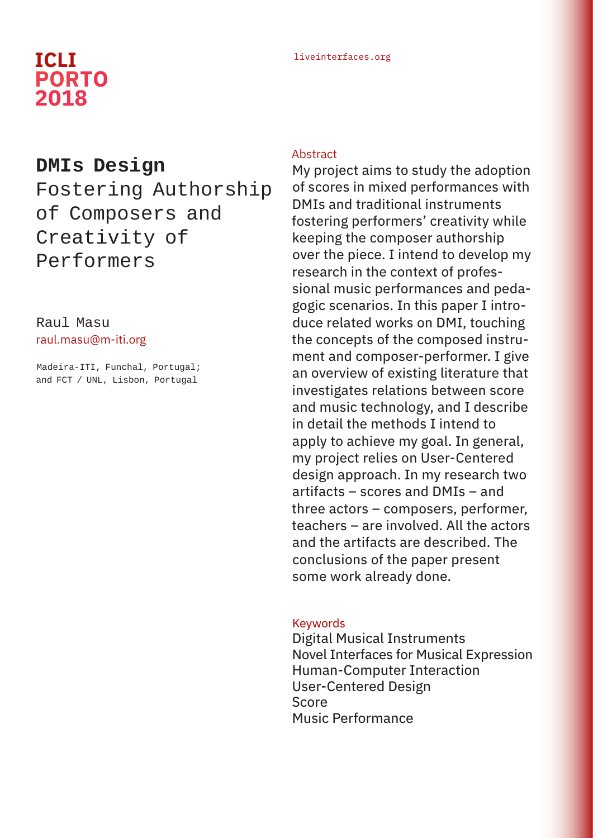# liveinterfaces.org **ICLI PORTO 2018**

## **DMIs Design**

Fostering Authorship of Composers and Creativity of Performers

### Raul Masu raul.masu@m-iti.org

Madeira-ITI, Funchal, Portugal; and FCT / UNL, Lisbon, Portugal

#### **Abstract**

My project aims to study the adoption of scores in mixed performances with DMIs and traditional instruments fostering performers' creativity while keeping the composer authorship over the piece. I intend to develop my research in the context of professional music performances and pedagogic scenarios. In this paper I introduce related works on DMI, touching the concepts of the composed instrument and composer-performer. I give an overview of existing literature that investigates relations between score and music technology, and I describe in detail the methods I intend to apply to achieve my goal. In general, my project relies on User-Centered design approach. In my research two artifacts – scores and DMIs – and three actors – composers, performer, teachers – are involved. All the actors and the artifacts are described. The conclusions of the paper present some work already done.

#### Keywords

Digital Musical Instruments Novel Interfaces for Musical Expression Human-Computer Interaction User-Centered Design Score Music Performance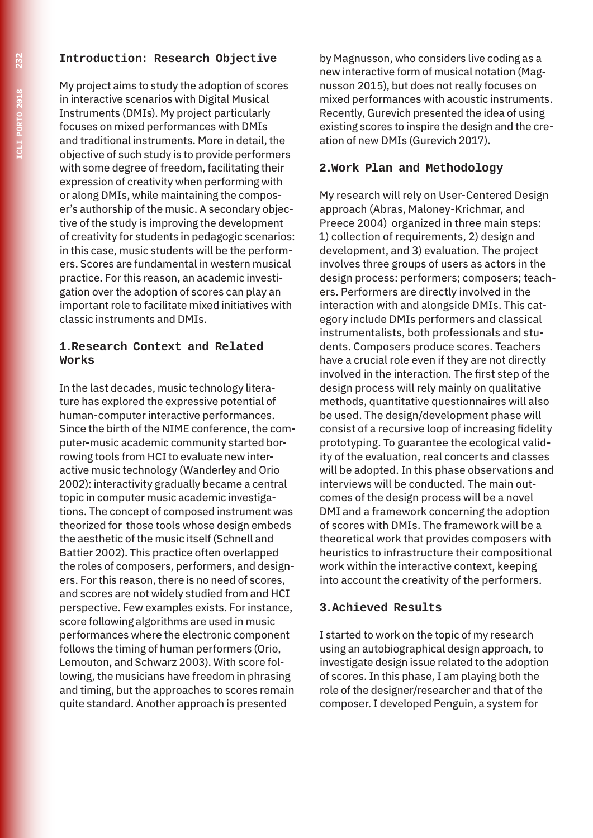#### **Introduction: Research Objective**

My project aims to study the adoption of scores in interactive scenarios with Digital Musical Instruments (DMIs). My project particularly focuses on mixed performances with DMIs and traditional instruments. More in detail, the objective of such study is to provide performers with some degree of freedom, facilitating their expression of creativity when performing with or along DMIs, while maintaining the composer's authorship of the music. A secondary objective of the study is improving the development of creativity for students in pedagogic scenarios: in this case, music students will be the performers. Scores are fundamental in western musical practice. For this reason, an academic investigation over the adoption of scores can play an important role to facilitate mixed initiatives with classic instruments and DMIs.

#### **1.Research Context and Related Works**

In the last decades, music technology literature has explored the expressive potential of human-computer interactive performances. Since the birth of the NIME conference, the computer-music academic community started borrowing tools from HCI to evaluate new interactive music technology (Wanderley and Orio 2002): interactivity gradually became a central topic in computer music academic investigations. The concept of composed instrument was theorized for those tools whose design embeds the aesthetic of the music itself (Schnell and Battier 2002). This practice often overlapped the roles of composers, performers, and designers. For this reason, there is no need of scores, and scores are not widely studied from and HCI perspective. Few examples exists. For instance, score following algorithms are used in music performances where the electronic component follows the timing of human performers (Orio, Lemouton, and Schwarz 2003). With score following, the musicians have freedom in phrasing and timing, but the approaches to scores remain quite standard. Another approach is presented

by Magnusson, who considers live coding as a new interactive form of musical notation (Magnusson 2015), but does not really focuses on mixed performances with acoustic instruments. Recently, Gurevich presented the idea of using existing scores to inspire the design and the creation of new DMIs (Gurevich 2017).

#### **2.Work Plan and Methodology**

My research will rely on User-Centered Design approach (Abras, Maloney-Krichmar, and Preece 2004) organized in three main steps: 1) collection of requirements, 2) design and development, and 3) evaluation. The project involves three groups of users as actors in the design process: performers; composers; teachers. Performers are directly involved in the interaction with and alongside DMIs. This category include DMIs performers and classical instrumentalists, both professionals and students. Composers produce scores. Teachers have a crucial role even if they are not directly involved in the interaction. The first step of the design process will rely mainly on qualitative methods, quantitative questionnaires will also be used. The design/development phase will consist of a recursive loop of increasing fidelity prototyping. To guarantee the ecological validity of the evaluation, real concerts and classes will be adopted. In this phase observations and interviews will be conducted. The main outcomes of the design process will be a novel DMI and a framework concerning the adoption of scores with DMIs. The framework will be a theoretical work that provides composers with heuristics to infrastructure their compositional work within the interactive context, keeping into account the creativity of the performers.

#### **3.Achieved Results**

I started to work on the topic of my research using an autobiographical design approach, to investigate design issue related to the adoption of scores. In this phase, I am playing both the role of the designer/researcher and that of the composer. I developed Penguin, a system for